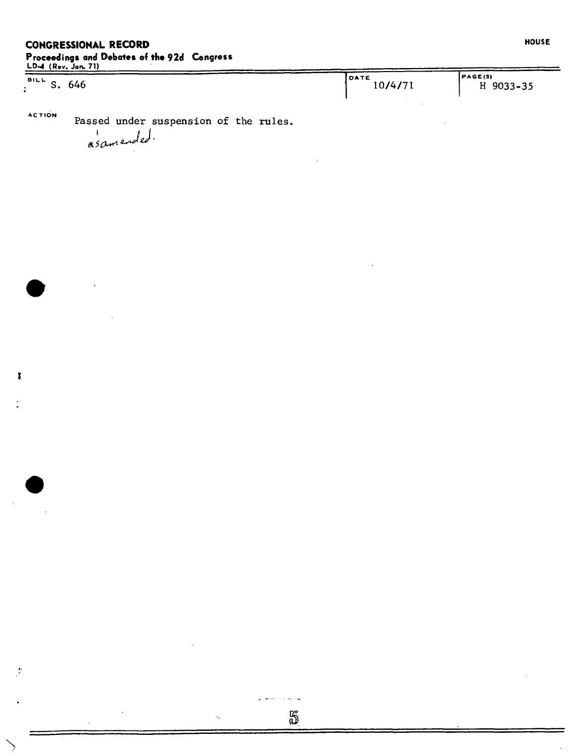# **CONGRESSIONAL RECORD Proceedings and Debates of the 92d Congress**

**LD**-4 **(Rev. Jon. 71)** 

 $\mathbf{r}$ 

 $\overline{\phantom{a}}$ 

| $BILL$ S. | <b>OATE</b> | PAGE(5)   |
|-----------|-------------|-----------|
| 646       | 10/4/71     | H 9033-35 |
|           |             |           |

**ACTION Passed under suspension of the rules.** 

asamended.

k,

وبالمحام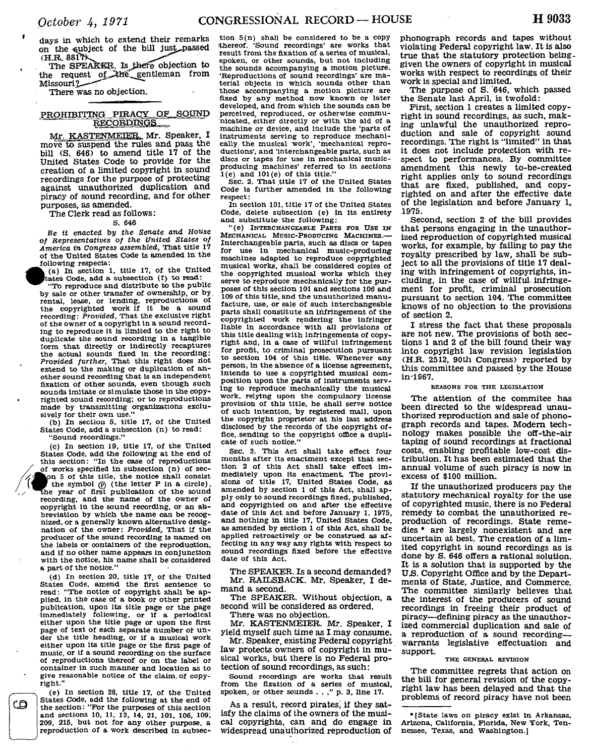$\mathbf{r}$ 

days in which to extend their remarks on the subject of the bill just passed (H.R. **88m .** 

The SPEAKER. Is there objection to the request of the gentleman from Missouri **2--—** 

There was no objection.

# PROHIBITING PIRACY OF SOUND RECORDINGS

Mr. KASTENMETER, Mr. Speaker, I move to suspend the rules and pass the bill  $(S. 646)$  to amend title 17 of the United States Code to provide for the creation of a limited copyright in sound recordings for the purpose of protecting against unauthorized duplication and piracy of sound recording, and for other purposes, as amended.

The Clerk read as follows:

#### **s. 646**

**Be** *it enacted by the Senate and House of Representatives of the United States of America in Congress assembled,* **That title 17 of the United States Code Is amended In th e following respects:** 

t **(a) In section 1, title 17, of the United**  tates Code, add a subsection (f) to read:

**"To reproduce and distribute to the public**  by sale or other transfer of ownership, or by rental, lease, or lending, reproductions of the copyrighted work if it be a sound **recording:** *Provided,* **That the exclusive right of the owner of a copyright In a sound record**ing to reproduce it is limited to the right to **duplicate the sound recording in a tangible**  form that directly or indirectly recaptures the actual sounds fixed in the recording: *Provided further,* **That this right does riot extend to the making or duplication of an other sound recording that is an Independent fixation of other sounds, even though such**  sounds imitate or simulate those in the copy**righted sound recording; or to reproductions made by transmitting organizations exclu-sively for their own use."** 

**(b) In section 5, title 17, of the United States Code, add a subsection (n) to read: "Sound recordings."** 

**(c) In section 19, title 17, of the United States Code, add the following at the end of**  this section: "In the case of reproductions **of works specified i n subsection (n) of sec-**  $\frac{1}{2}$  **p** 5 of this title, the notice shall consist **he symbol**  $\widehat{p}$  (the letter P in a circle), the year of first publication of the sound **recording, and the name of the owner of copyright in the sound recording, or an abbreviation by which the name can be recognized, or a generally known alternative designation of the owner:** *Provided,* **That If the**  producer of the sound recording is named on the labels or containers of the reproduction, **and if no other name appears in conjunction with the notice, his name shall be considered a part of the notice."** 

(d) In section 20, title 17, of the United States Code, amend the first sentence to **read: "The notice of copyright shall be applied, in the case of** a **book or other printed publication, upon its title page or the page •immediately following, or if a periodical either upon the title page or upon the first page of text of each separate number of un der the title heading, or if** a **musical work either upon its title page or the first page of music, or if a sound recording on the surface of reproductions thereof or on the label or container In such manner and location as to give reasonable notice of the claim, of copyright."** 

**(e) In section 26, title 17, of the United**  States Code, add the following at the end of the section: "For the purposes of this section **and sections 10, 11, 13, 14, 21, 101, 106, 109, 209, 215, but not for any other purpose, a reproduction of a work described in subsec-**

ග

**tion 5(n) shall be considered to be a copy thereof. 'Sound recordings' are works that result from the fixation of a series of musical, spoken, or other sounds, but not including t he sounds accompanying a motion picture. 'Reproductions of sound recordings' are ma terial objects in which sounds other than those accompanying a motion picture are fixed by any method now known or later developed, and from which the sounds can be perceived, reproduced, or otherwise commu nicated, either directly or with the aid of a machine or device, and include the 'parts of**  instruments serving to reproduce mechani**cally the musical "work', 'mechanical reproductions', and 'interchangeable parts, such as discs or tapes for use in mechanical music producing machines' referred to in sections 1(e) and 101(e) of this title."** 

**SEC. 2. That title 17 of the United States Code Is further amended in the following respect:** 

In section 101, title 17 of the United States **Code, delete subsection (e) In its entirety**  and substitute the following:

"(e) INTERCHANGEABLE PARTS FOR USE IN **MECHANICAL MUSIC-PRODUCING MACHINES.— Interchangeable parts, such as discs or tapes**  for use in mechanical music-producing machines adapted to reproduce copyrighted **musical works, shall be considered copies of t he copyrighted musical works which they**  serve to reproduce mechanically for the pur**poses of this section 101 and sections 106 and 109 of this title, and the unauthorized manufacture, use, or sale of such interchangeable parts shall constitute an infringement of th e copyrighted work rendering the infringer liable in accordance with all provisions of this title dealing with infringements of copyright and, in a case of wUlful Infringement for profit, to criminal prosecution pursuant t o section 104 of this title. Whenever any person, In the absence of a license agreement,**  intends to use a copyrighted musical com**position upon the parts of instruments serving to reproduce mechanically the musical work, relying upon the compulsory license provision of this title, he shall serve notice**  provision of this title, he shall serve notice<br>of such intention, by registered mail, upon<br>the contright propriet his last address the copyright proprietor at his last address disclosed by the records of the copyright ofdisclosed by the records of the copyright of-<br>fice, sending to the copyright office a dupli-

**SEC. 3. This Act shall take effect four months after its enactment except that section 2 of this Act shall take effect im mediately upon its enactment. The provisions of title 17, United States Code, as amended by section 1 of this Act, shall apply only to sound recordings fixed, published, and copyrighted on and after the effective**  date of this Act and before January 1, 1975, **and nothing in title 17, United States Code, as amended by section 1 of this Act, shaU be applied retroactively or be construed as af**fecting in any way any rights with respect to **sound recordings fixed before the effective date of this Act.** 

The SPEAKER. Is a second demanded? Mr. RAILSBACK. Mr. Speaker, I de mand a second.

The SPEAKER. Without objection, a second will be considered as ordered.

There was no objection.

Mr. KASTENMEIER. Mr. Speaker, I yield myself such time as I may consume.

Mr. Speaker, existing Federal copyright law protects owners of copyright in mu sical works, but there is no Federal protection of sound recordings, as such:

**Sound recordings are works that result from the fixation of a series of musical, spoken, or other sounds . . ." p. 3, line 17.** 

As a result, record pirates; if they satisfy the claims of the owners of the musical copyrights, can and do engage in widespread unauthorized reproduction of phonograph records and tapes without violating Federal copyright law. It is also true that the statutory protection beinggiven the owners of copyright in musical works with respect to recordings of their work is special and limited.

The purpose of S. 646, which passed the Senate last April, is twofold:

First, section 1 creates a limited copyright in sound recordings, as such, making unlawful the unauthorized reproduction and sale of copyright sound recordings. The right is "limited" in that **it** does not include protection with re spect to performances. By committee amendment this newly to-be-created right applies only to sound recordings that are fixed, published, and copyrighted on and after the effective date of the legislation and before January 1, 1975.

Second, section 2 of the bill provides that persons engaging in the unauthorized reproduction of copyrighted musical works, for example, by failing to pay the **Toyalty** prescribed **by** law, shall be subject to all the provisions of title 17 dealing with infringement of copyrights, in cluding, in the case of willful infringement for profit, criminal prosecution pursuant to section 104. The committee knows **of** no objection to the provisions of section 2.

I stress the fact that these proposals are not new. The provisions of both sections 1 and 2 of the bill found their way into copyright law revision legislation (H.R. 2512, 90th Congress) reported **by**  this committee and passed by the House **in**-1967.

## **REASONS FOR THE LEGISLATION**

The attention of the commitee has been directed to the widespread unauthorized reproduction and sale of phonograph records and tapes. Modern technology makes possible the off-the-air taping of sound recordings at fractional costs, enabling profitable low-cost distribution. It has been estimated that the annual volume of such piracy is now in excess of \$100 million.

If the unauthorized producers pay the statutory mechanical royalty for the use of copyrighted music, there is no Federal remedy to combat the unauthorized reproduction of recordings. State remedies \* are largely nonexistent and are uncertain at best. The creation of a limited copyright in sound recordings as is done by S. 646 offers a rational solution. It is a solution that is supported by the U.S. Copyright Office and by the Departments of State, Justice, and Commerce. The committee similarly believes that the interest of the producers of sound recordings in freeing their product of piracy—defining piracy as the unauthorized commercial duplication and sale of a reproduction of a sound recording warrants legislative effectuation and support.

#### **THE GENERAL REVISION**

The committee regrets that action on the bill for general revision of the copyright law has been delayed and that the problems, of record piracy have not been

**<sup>\* [</sup>State laws on piracy exist In Arkansas, Arizona, California, Florida, New York, Tennessee, Texas, and Washington.]**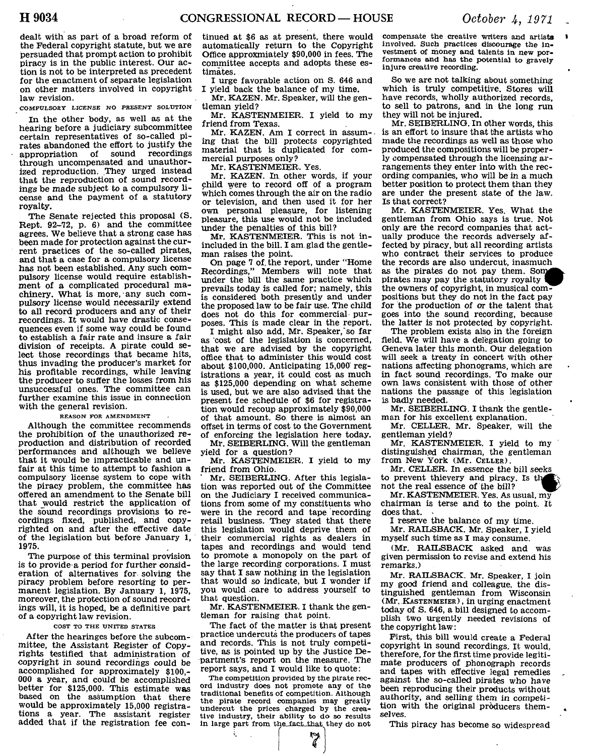dealt with as part of a broad reform of the Federal copyright statute, but we are persuaded that prompt action to prohibit piracy is in the public interest. Our action is not to be interpreted as precedent for the enactment of separate legislation on other matters involved in copyright law revision.

**COMFULSORT LICENSE NO PRESENT SOLUTION** 

In the other body, as well as at the hearing before a judiciary subcommittee certain representatives of so-called pirates abandoned the effort to justify the appropriation of sound recordings through uncompensated and unauthorized reproduction. They urged instead that the reproduction of sound recordings be made subject to a compulsory license and the payment of a statutory royalty.

The Senate rejected this proposal (S. Rept.  $92-72$ , p.  $6)$  and the committee agrees. We believe that a strong case has been made for protection against the current practices of the so-called pirates, and that a case for a compulsory license has not been established. Any such compulsory license would require establishment of a complicated procedural machinery. What is more, any such compulsory license would necessarily extend to all record producers and any of their recordings. It would have drastic conse quences even if some way could be found to establish a fair rate and insure a fair division of receipts. A pirate could select those recordings that became hits. thus invading the producer's market for his profitable recordings, while leaving the producer to suffer the losses from his unsuccessful ones. The committee can further examine this issue in connection with the general revision.

## **REASON FOR AMENDMENT**

Although the committee recommends the prohibition of the unauthorized reproduction and distribution of recorded performances and although we believe that it would be impracticable and unfair at this time to attempt to fashion a compulsory license system to cope with the piracy problem, the committee has offered an amendment to the Senate bill that would restrict the application of the sound recordings provisions to recordings fixed, published, and copyrighted on and after the effective date of the legislation but before January 1, 1975.

The purpose of this terminal provision is to provide a period for further consideration of alternatives for solving the piracy problem before resorting to permanent legislation. By January 1, 1975, moreover, the protection of sound recordings will, it is hoped, be a definitive part of a copyright law revision.

### **COST TO THE UNITED STATES**

After the hearinges before the subcommittee, the Assistant Register of Copyrights testified that administration of copyright in sound recordings could be accomplished for approximately \$100, - 000 a year, and could be accomplished better for \$125,000. This estimate was based on the assumption that there would be approximately 15,000 registrations a year. The assistant register added that if the registration fee con-

tinued at \$6 as at present, there would automatically return to the Copyright Office approximately \$90,000 in fees. The committee accepts and adopts these estimates.

I urge favorable action on S. 646 and I yield back the balance of my time.

Mr. KAZEN. Mr. Speaker, will the gentleman yield?

Mr. KASTENMEIER. I yield to my friend from Texas.

Mr. KAZEN. Am I correct in assum-. ing that the bill protects copyrighted material that is duplicated for commercial purposes only?

Mr. KASTENMEIER. Yes.

Mr. KAZEN. In other words, if your child were to record off of a program which comes through the air on the radio or television, and then used it for her own personal pleasure, for listening pleasure, this use would not be included under the penalties of this bill?

Mr. KASTENMEIER. This is not in included in the bill. I am glad the gentleman raises the point.

On page 7 of the report, under "Home Recordings," Members will note that under the bill the same practice which prevails today is called for; namely, this is considered both presently and under the proposed law to be fair use. The child does not do this for commercial purposes. This is made clear in the report.

I might also add, Mr. Speaker.'so far as cost of the legislation is concerned, that we are advised by the copyright office that to administer this would cost about  $$100,000$ . Anticipating  $15,000$  registrations a year, it could cost as much as \$125,000 depending on what scheme is used, but we are also advised that the present fee schedule of \$6 for registration would recoup approximately \$90,000 of that amount. So there is almost an offset in terms of cost to the Government of enforcing the legislation here today.

Mr. SEIBERLING. Will the gentleman yield for a question?

Mr. KASTENMEIER. I yield to my friend from Ohio.

Mr. SEIBERLING. After this legislation was reported out of the Committee on the Judiciary I received communica tions from some of my constituents who were in the record and tape recording retail business. They stated that there this legislation would deprive them of their commercial rights as dealers in tapes and recordings and would tend to promote a monopoly on the part of the large recording corporations. I must say that I saw nothing in the legislation that would so indicate, but I wonder if you would care to address yourself to that question.

Mr. KASTENMEIER. I thank the gentleman for raising that point.

The fact of the matter is that present practice undercuts the producers of tapes and records. This is not truly competitive, as is pointed up by the Justice Department's report on the measure. The report says, and I would like to quote:

**The competition provided by the pirate record Industry does not promote any of the traditional benefits of competition. Although the pirate record companies may greatly undercut the prices charged by the crea-tive industry, their ability to do so results**  in large part from the fact that they do not

 $\tilde{\mathcal{C}}$ 

**compensate the creative writers and artists involved. Such practices discourage the in vestment of money and talents in new per formances and has the potential to gravely injure creative recording.** 

So we are not talking about something which is truly competitive. Stores will have records, wholly authorized records, to sell to patrons, and in the long run they will not be injured.

Mr. SEIBERLING. In other words, this is an effort to insure that the artists who made the recordings as well as those who produced the compositions will be properly compensated through the licensing arrangements they enter into with the recording companies, who will be in a much better position to protect them than they are under the present state of the law. Is that correct?

Mr. KASTENMEIER, Yes. What the gentleman from Ohio says is true. Not only are the record companies that actually produce the records adversely affected by piracy, but all recording artists who contract their services to produce the records are also undercut, inasmuch as the pirates do not pay them. Som pirates may pay the statutory royalty the owners of copyright, in musical compositions but they do not in the fact pay for the production of or the talent that goes into the sound recording, because the latter is not protected by copyright.

The problem exists also in the foreign field. We will have a delegation going to Geneva later this month. Our delegation will seek a treaty in concert with other nations affecting phonograms, which are in fact sound recordings. To make our own laws consistent with those of other nations the passage of this legislation is badly needed.

Mr. SEIBERLING. I thank the gentleman for his excellent explanation.

Mr. CELLER. Mr. Speaker, will the gentleman yield?

Mr. KASTENMEIER. I yield to my distinguished chairman, the gentleman from New York (Mr. CELLER).

Mr. CELLER. In essence the bill seeks to prevent thievery and piracy. Is th not the real essence of the bill?

Mr. KASTENMEIER. Yes. As usual, my chairman is terse and to the point. It does that. -

I reserve the balance of my time.

Mr. RAILSBACK. Mr. Speaker, I yield myself such time as I may consume.

(Mr. RAILSBACK asked and was given permission to revise and extend his remarks.)

Mr. RAILSBACK. Mr. Speaker, I join my good friend and colleague, the distinguished gentleman from Wisconsin (Mr. KASTENMEIER), in urging enactment today of S. 646, a bill designed to accomplish two urgently needed revisions of the copyright law:

First, this bill would create a Federal copyright in sound recordings. It would, therefore, for the first time provide legitimate producers of phonograph records and tapes with effective legal remedies against the so-called pirates who have been reproducing their products without authority, and selling them in competition with the original producers themselves.

This piracy has become so widespread